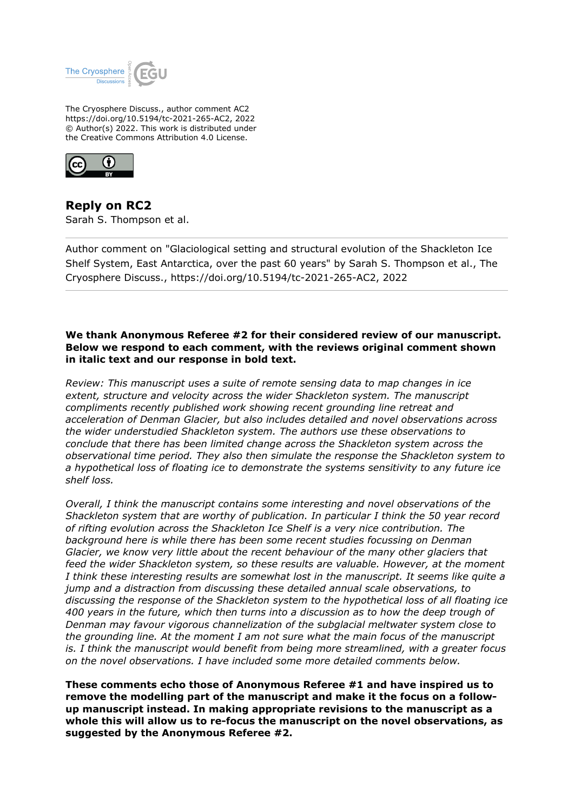

The Cryosphere Discuss., author comment AC2 https://doi.org/10.5194/tc-2021-265-AC2, 2022 © Author(s) 2022. This work is distributed under the Creative Commons Attribution 4.0 License.



**Reply on RC2** Sarah S. Thompson et al.

Author comment on "Glaciological setting and structural evolution of the Shackleton Ice Shelf System, East Antarctica, over the past 60 years" by Sarah S. Thompson et al., The Cryosphere Discuss., https://doi.org/10.5194/tc-2021-265-AC2, 2022

# **We thank Anonymous Referee #2 for their considered review of our manuscript. Below we respond to each comment, with the reviews original comment shown in italic text and our response in bold text.**

*Review: This manuscript uses a suite of remote sensing data to map changes in ice extent, structure and velocity across the wider Shackleton system. The manuscript compliments recently published work showing recent grounding line retreat and acceleration of Denman Glacier, but also includes detailed and novel observations across the wider understudied Shackleton system. The authors use these observations to conclude that there has been limited change across the Shackleton system across the observational time period. They also then simulate the response the Shackleton system to a hypothetical loss of floating ice to demonstrate the systems sensitivity to any future ice shelf loss.*

*Overall, I think the manuscript contains some interesting and novel observations of the Shackleton system that are worthy of publication. In particular I think the 50 year record of rifting evolution across the Shackleton Ice Shelf is a very nice contribution. The background here is while there has been some recent studies focussing on Denman Glacier, we know very little about the recent behaviour of the many other glaciers that feed the wider Shackleton system, so these results are valuable. However, at the moment I think these interesting results are somewhat lost in the manuscript. It seems like quite a jump and a distraction from discussing these detailed annual scale observations, to discussing the response of the Shackleton system to the hypothetical loss of all floating ice 400 years in the future, which then turns into a discussion as to how the deep trough of Denman may favour vigorous channelization of the subglacial meltwater system close to the grounding line. At the moment I am not sure what the main focus of the manuscript is. I think the manuscript would benefit from being more streamlined, with a greater focus on the novel observations. I have included some more detailed comments below.*

**These comments echo those of Anonymous Referee #1 and have inspired us to remove the modelling part of the manuscript and make it the focus on a followup manuscript instead. In making appropriate revisions to the manuscript as a whole this will allow us to re-focus the manuscript on the novel observations, as suggested by the Anonymous Referee #2.**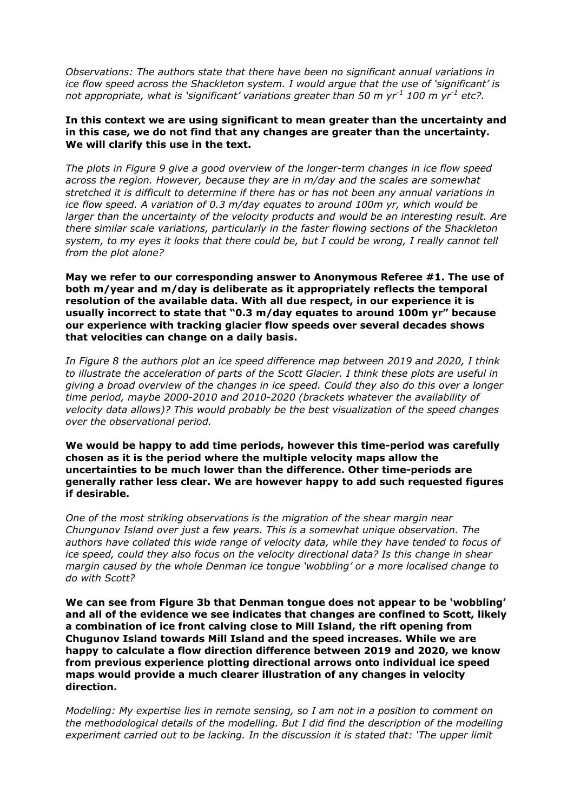*Observations: The authors state that there have been no significant annual variations in ice flow speed across the Shackleton system. I would argue that the use of 'significant' is not appropriate, what is 'significant' variations greater than 50 m yr-1 100 m yr-1 etc?.*

## **In this context we are using significant to mean greater than the uncertainty and in this case, we do not find that any changes are greater than the uncertainty. We will clarify this use in the text.**

*The plots in Figure 9 give a good overview of the longer-term changes in ice flow speed across the region. However, because they are in m/day and the scales are somewhat stretched it is difficult to determine if there has or has not been any annual variations in ice flow speed. A variation of 0.3 m/day equates to around 100m yr, which would be larger than the uncertainty of the velocity products and would be an interesting result. Are there similar scale variations, particularly in the faster flowing sections of the Shackleton system, to my eyes it looks that there could be, but I could be wrong, I really cannot tell from the plot alone?*

**May we refer to our corresponding answer to Anonymous Referee #1. The use of both m/year and m/day is deliberate as it appropriately reflects the temporal resolution of the available data. With all due respect, in our experience it is usually incorrect to state that "0.3 m/day equates to around 100m yr" because our experience with tracking glacier flow speeds over several decades shows that velocities can change on a daily basis.**

*In Figure 8 the authors plot an ice speed difference map between 2019 and 2020, I think to illustrate the acceleration of parts of the Scott Glacier. I think these plots are useful in giving a broad overview of the changes in ice speed. Could they also do this over a longer time period, maybe 2000-2010 and 2010-2020 (brackets whatever the availability of velocity data allows)? This would probably be the best visualization of the speed changes over the observational period.*

**We would be happy to add time periods, however this time-period was carefully chosen as it is the period where the multiple velocity maps allow the uncertainties to be much lower than the difference. Other time-periods are generally rather less clear. We are however happy to add such requested figures if desirable.**

*One of the most striking observations is the migration of the shear margin near Chungunov Island over just a few years. This is a somewhat unique observation. The authors have collated this wide range of velocity data, while they have tended to focus of ice speed, could they also focus on the velocity directional data? Is this change in shear margin caused by the whole Denman ice tongue 'wobbling' or a more localised change to do with Scott?*

**We can see from Figure 3b that Denman tongue does not appear to be 'wobbling' and all of the evidence we see indicates that changes are confined to Scott, likely a combination of ice front calving close to Mill Island, the rift opening from Chugunov Island towards Mill Island and the speed increases. While we are happy to calculate a flow direction difference between 2019 and 2020, we know from previous experience plotting directional arrows onto individual ice speed maps would provide a much clearer illustration of any changes in velocity direction.**

*Modelling: My expertise lies in remote sensing, so I am not in a position to comment on the methodological details of the modelling. But I did find the description of the modelling experiment carried out to be lacking. In the discussion it is stated that: 'The upper limit*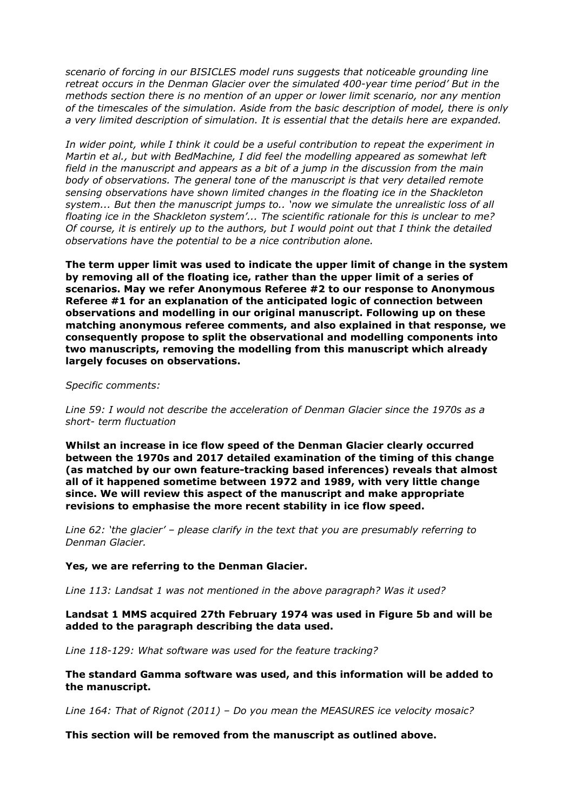*scenario of forcing in our BISICLES model runs suggests that noticeable grounding line retreat occurs in the Denman Glacier over the simulated 400-year time period' But in the methods section there is no mention of an upper or lower limit scenario, nor any mention of the timescales of the simulation. Aside from the basic description of model, there is only a very limited description of simulation. It is essential that the details here are expanded.*

*In wider point, while I think it could be a useful contribution to repeat the experiment in Martin et al., but with BedMachine, I did feel the modelling appeared as somewhat left field in the manuscript and appears as a bit of a jump in the discussion from the main body of observations. The general tone of the manuscript is that very detailed remote sensing observations have shown limited changes in the floating ice in the Shackleton system... But then the manuscript jumps to.. 'now we simulate the unrealistic loss of all floating ice in the Shackleton system'... The scientific rationale for this is unclear to me? Of course, it is entirely up to the authors, but I would point out that I think the detailed observations have the potential to be a nice contribution alone.*

**The term upper limit was used to indicate the upper limit of change in the system by removing all of the floating ice, rather than the upper limit of a series of scenarios. May we refer Anonymous Referee #2 to our response to Anonymous Referee #1 for an explanation of the anticipated logic of connection between observations and modelling in our original manuscript. Following up on these matching anonymous referee comments, and also explained in that response, we consequently propose to split the observational and modelling components into two manuscripts, removing the modelling from this manuscript which already largely focuses on observations.**

#### *Specific comments:*

*Line 59: I would not describe the acceleration of Denman Glacier since the 1970s as a short- term fluctuation*

**Whilst an increase in ice flow speed of the Denman Glacier clearly occurred between the 1970s and 2017 detailed examination of the timing of this change (as matched by our own feature-tracking based inferences) reveals that almost all of it happened sometime between 1972 and 1989, with very little change since. We will review this aspect of the manuscript and make appropriate revisions to emphasise the more recent stability in ice flow speed.**

*Line 62: 'the glacier' – please clarify in the text that you are presumably referring to Denman Glacier.*

# **Yes, we are referring to the Denman Glacier.**

*Line 113: Landsat 1 was not mentioned in the above paragraph? Was it used?*

**Landsat 1 MMS acquired 27th February 1974 was used in Figure 5b and will be added to the paragraph describing the data used.**

*Line 118-129: What software was used for the feature tracking?*

# **The standard Gamma software was used, and this information will be added to the manuscript.**

*Line 164: That of Rignot (2011) – Do you mean the MEASURES ice velocity mosaic?*

# **This section will be removed from the manuscript as outlined above.**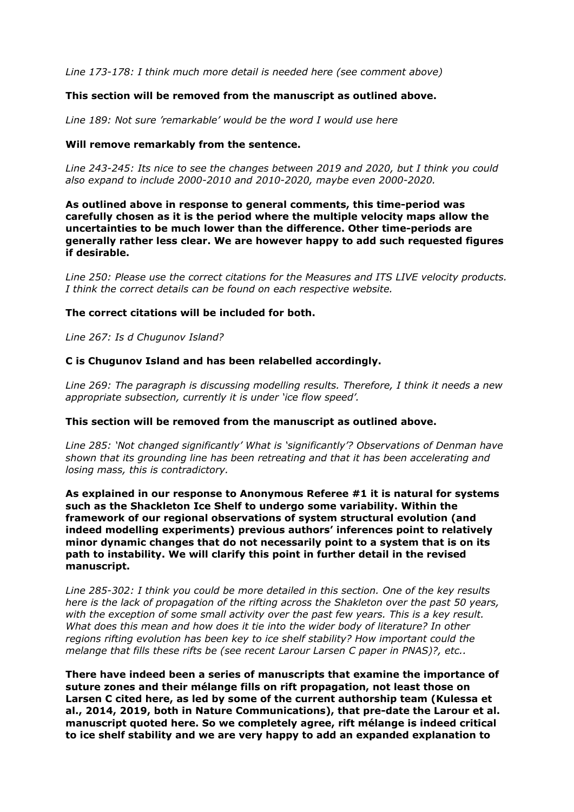*Line 173-178: I think much more detail is needed here (see comment above)*

# **This section will be removed from the manuscript as outlined above.**

*Line 189: Not sure 'remarkable' would be the word I would use here*

# **Will remove remarkably from the sentence.**

*Line 243-245: Its nice to see the changes between 2019 and 2020, but I think you could also expand to include 2000-2010 and 2010-2020, maybe even 2000-2020.*

**As outlined above in response to general comments, this time-period was carefully chosen as it is the period where the multiple velocity maps allow the uncertainties to be much lower than the difference. Other time-periods are generally rather less clear. We are however happy to add such requested figures if desirable.**

*Line 250: Please use the correct citations for the Measures and ITS LIVE velocity products. I think the correct details can be found on each respective website.*

# **The correct citations will be included for both.**

*Line 267: Is d Chugunov Island?*

#### **C is Chugunov Island and has been relabelled accordingly.**

*Line 269: The paragraph is discussing modelling results. Therefore, I think it needs a new appropriate subsection, currently it is under 'ice flow speed'.*

#### **This section will be removed from the manuscript as outlined above.**

*Line 285: 'Not changed significantly' What is 'significantly'? Observations of Denman have shown that its grounding line has been retreating and that it has been accelerating and losing mass, this is contradictory.*

**As explained in our response to Anonymous Referee #1 it is natural for systems such as the Shackleton Ice Shelf to undergo some variability. Within the framework of our regional observations of system structural evolution (and indeed modelling experiments) previous authors' inferences point to relatively minor dynamic changes that do not necessarily point to a system that is on its path to instability. We will clarify this point in further detail in the revised manuscript.**

*Line 285-302: I think you could be more detailed in this section. One of the key results here is the lack of propagation of the rifting across the Shakleton over the past 50 years, with the exception of some small activity over the past few years. This is a key result. What does this mean and how does it tie into the wider body of literature? In other regions rifting evolution has been key to ice shelf stability? How important could the melange that fills these rifts be (see recent Larour Larsen C paper in PNAS)?, etc..*

**There have indeed been a series of manuscripts that examine the importance of suture zones and their mélange fills on rift propagation, not least those on Larsen C cited here, as led by some of the current authorship team (Kulessa et al., 2014, 2019, both in Nature Communications), that pre-date the Larour et al. manuscript quoted here. So we completely agree, rift mélange is indeed critical to ice shelf stability and we are very happy to add an expanded explanation to**